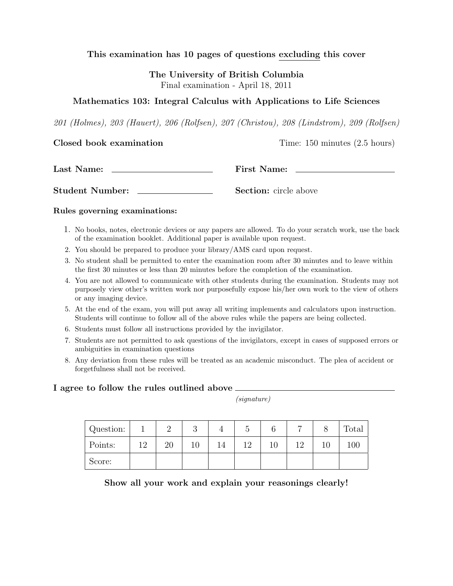### This examination has 10 pages of questions excluding this cover

The University of British Columbia Final examination - April 18, 2011

### Mathematics 103: Integral Calculus with Applications to Life Sciences

201 (Holmes), 203 (Hauert), 206 (Rolfsen), 207 (Christou), 208 (Lindstrom), 209 (Rolfsen)

Closed book examination Time: 150 minutes (2.5 hours)

Last Name: First Name:

Student Number: Section: circle above

#### Rules governing examinations:

- 1. No books, notes, electronic devices or any papers are allowed. To do your scratch work, use the back of the examination booklet. Additional paper is available upon request.
- 2. You should be prepared to produce your library/AMS card upon request.
- 3. No student shall be permitted to enter the examination room after 30 minutes and to leave within the first 30 minutes or less than 20 minutes before the completion of the examination.
- 4. You are not allowed to communicate with other students during the examination. Students may not purposely view other's written work nor purposefully expose his/her own work to the view of others or any imaging device.
- 5. At the end of the exam, you will put away all writing implements and calculators upon instruction. Students will continue to follow all of the above rules while the papers are being collected.
- 6. Students must follow all instructions provided by the invigilator.
- 7. Students are not permitted to ask questions of the invigilators, except in cases of supposed errors or ambiguities in examination questions
- 8. Any deviation from these rules will be treated as an academic misconduct. The plea of accident or forgetfulness shall not be received.

#### I agree to follow the rules outlined above

(signature)

| Question: |          | ↵  | റ<br>◡ |    | ◡   |    | −   |    | Total |
|-----------|----------|----|--------|----|-----|----|-----|----|-------|
| Points:   | 19<br>⊥∠ | 20 |        | 14 | 19. | 10 | 1 ೧ | 10 | 100   |
| Score:    |          |    |        |    |     |    |     |    |       |

Show all your work and explain your reasonings clearly!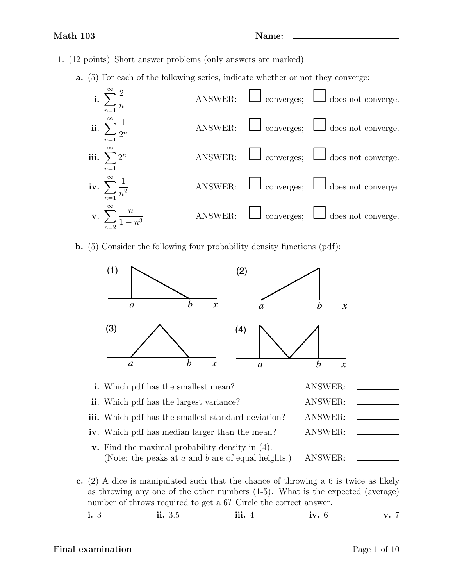- 1. (12 points) Short answer problems (only answers are marked)
	- a. (5) For each of the following series, indicate whether or not they converge:



b. (5) Consider the following four probability density functions (pdf):



c. (2) A dice is manipulated such that the chance of throwing a 6 is twice as likely as throwing any one of the other numbers (1-5). What is the expected (average) number of throws required to get a 6? Circle the correct answer.

### Final examination Page 1 of 10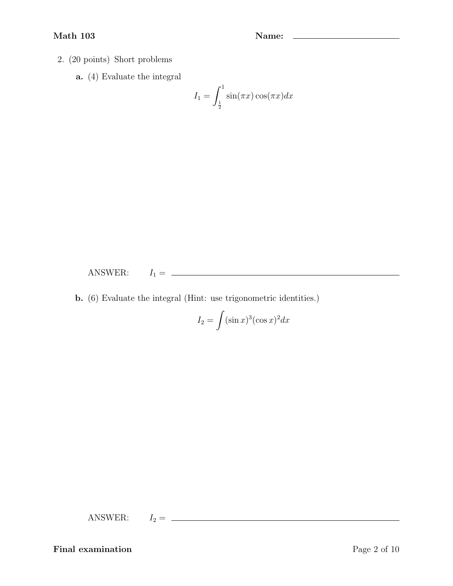### Math 103 Name: 2008 Name: 2008 Name: 2008 Name: 2008 Name: 2008 Name: 2008 Name: 2008 Name: 2008 Name: 2008 Name: 2008 Name: 2008 Name: 2008 Name: 2008 Name: 2008 Name: 2008 Name: 2008 Name: 2008 Name: 2008 Name: 2008 Name

- 2. (20 points) Short problems
	- a. (4) Evaluate the integral

$$
I_1 = \int_{\frac{1}{2}}^1 \sin(\pi x) \cos(\pi x) dx
$$

ANSWER: I<sup>1</sup> =

b. (6) Evaluate the integral (Hint: use trigonometric identities.)

$$
I_2 = \int (\sin x)^3 (\cos x)^2 dx
$$

ANSWER: I<sup>2</sup> =

Final examination Page 2 of 10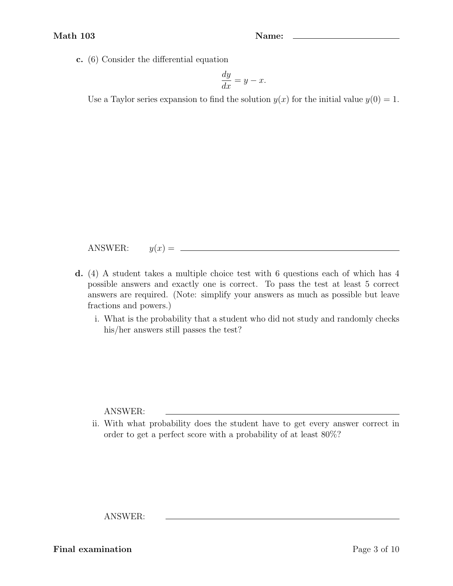c. (6) Consider the differential equation

$$
\frac{dy}{dx} = y - x.
$$

Use a Taylor series expansion to find the solution  $y(x)$  for the initial value  $y(0) = 1$ .

ANSWER:  $y(x) =$ 

- d. (4) A student takes a multiple choice test with 6 questions each of which has 4 possible answers and exactly one is correct. To pass the test at least 5 correct answers are required. (Note: simplify your answers as much as possible but leave fractions and powers.)
	- i. What is the probability that a student who did not study and randomly checks his/her answers still passes the test?

ANSWER:

ii. With what probability does the student have to get every answer correct in order to get a perfect score with a probability of at least 80%?

ANSWER:

Final examination Page 3 of 10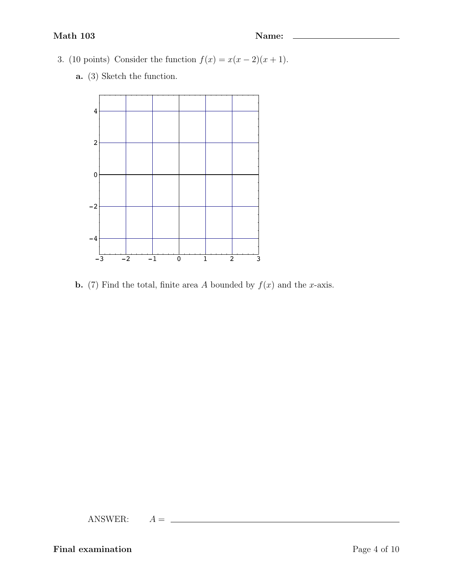- 3. (10 points) Consider the function  $f(x) = x(x 2)(x + 1)$ .
	- a. (3) Sketch the function.



**b.** (7) Find the total, finite area A bounded by  $f(x)$  and the x-axis.

ANSWER:  $A = \_$ 

Final examination Page 4 of 10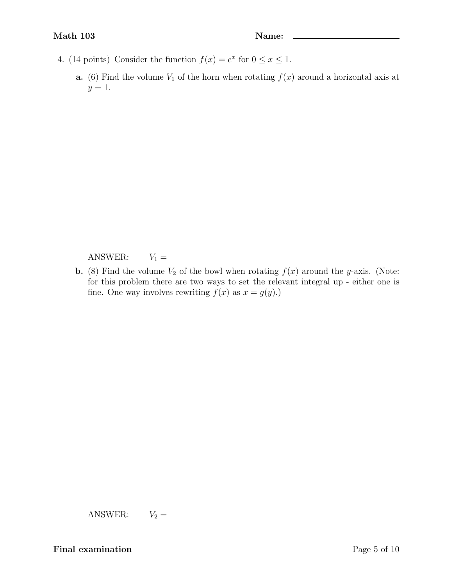- 4. (14 points) Consider the function  $f(x) = e^x$  for  $0 \le x \le 1$ .
	- **a.** (6) Find the volume  $V_1$  of the horn when rotating  $f(x)$  around a horizontal axis at  $y=1$ .

ANSWER: V<sup>1</sup> =

**b.** (8) Find the volume  $V_2$  of the bowl when rotating  $f(x)$  around the y-axis. (Note: for this problem there are two ways to set the relevant integral up - either one is fine. One way involves rewriting  $f(x)$  as  $x = g(y)$ .)

ANSWER: V<sup>2</sup> =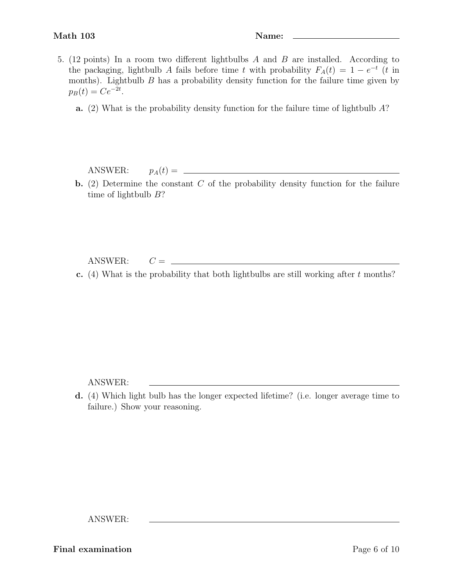- 5. (12 points) In a room two different lightbulbs A and B are installed. According to the packaging, lightbulb A fails before time t with probability  $F_A(t) = 1 - e^{-t}$  (t in months). Lightbulb  $B$  has a probability density function for the failure time given by  $p_B(t) = Ce^{-2t}.$ 
	- a. (2) What is the probability density function for the failure time of lightbulb A?

ANSWER: pA(t) =

**b.** (2) Determine the constant  $C$  of the probability density function for the failure time of lightbulb  $B$ ?

 $ANSWER:$   $C = \_$ 

c. (4) What is the probability that both lightbulbs are still working after  $t$  months?

ANSWER:

d. (4) Which light bulb has the longer expected lifetime? (i.e. longer average time to failure.) Show your reasoning.

ANSWER:

Final examination Page 6 of 10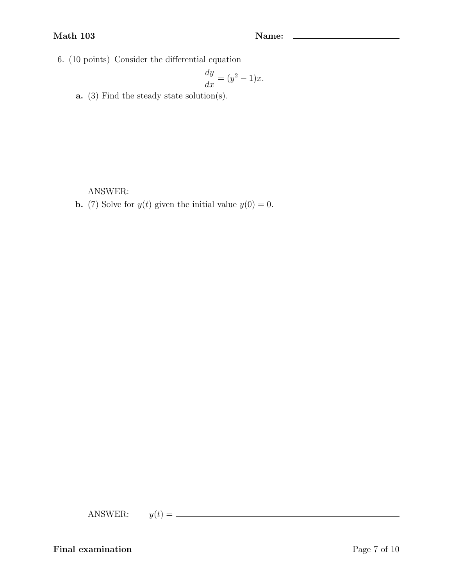#### Math 103 Name: 2012 Name: 2014 Name: 2014 Name: 2014 Name: 2014 Name: 2014 Name: 2014 Name: 2014 Name: 2014 Name: 2014 Name: 2014 Name: 2014 Name: 2014 Name: 2014 Name: 2014 Name: 2014 Name: 2014 Name: 2014 Name: 2014 Name

6. (10 points) Consider the differential equation

$$
\frac{dy}{dx} = (y^2 - 1)x.
$$

<u> 1989 - Johann Stoff, deutscher Stoffen und der Stoffen und der Stoffen und der Stoffen und der Stoffen und der</u>

a. (3) Find the steady state solution(s).

ANSWER:

**b.** (7) Solve for  $y(t)$  given the initial value  $y(0) = 0$ .

ANSWER: y(t) =

Final examination Page 7 of 10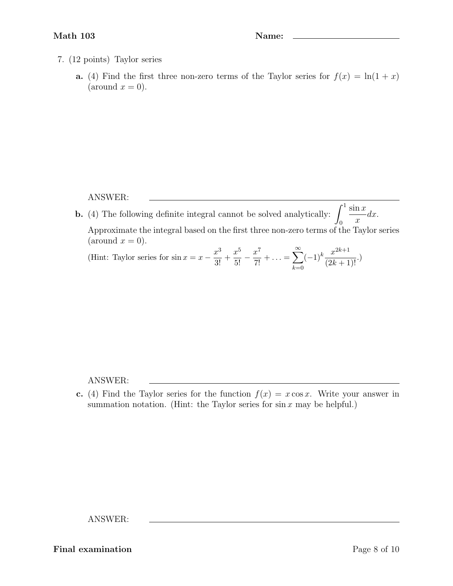- 7. (12 points) Taylor series
	- a. (4) Find the first three non-zero terms of the Taylor series for  $f(x) = \ln(1+x)$  $\text{(around } x = 0).$

#### ANSWER:

**b.** (4) The following definite integral cannot be solved analytically:  $\int_1^1$  $\boldsymbol{0}$  $\sin x$  $\overline{x}$  $dx$ . Approximate the integral based on the first three non-zero terms of the Taylor series  $\text{(around } x = 0).$ (Hint: Taylor series for  $\sin x = x - \frac{x^3}{2!}$  $rac{x^3}{3!} + \frac{x^5}{5!}$  $rac{x^5}{5!} - \frac{x^7}{7!}$  $\frac{x}{7!} + \ldots =$  $\sum_{\infty}^{\infty}$  $(-1)^k \frac{x^{2k+1}}{(2k+1)}$  $\frac{w}{(2k+1)!}$ .)

 $_{k=0}$ 

ANSWER:

c. (4) Find the Taylor series for the function  $f(x) = x \cos x$ . Write your answer in summation notation. (Hint: the Taylor series for  $\sin x$  may be helpful.)

ANSWER:

Final examination Page 8 of 10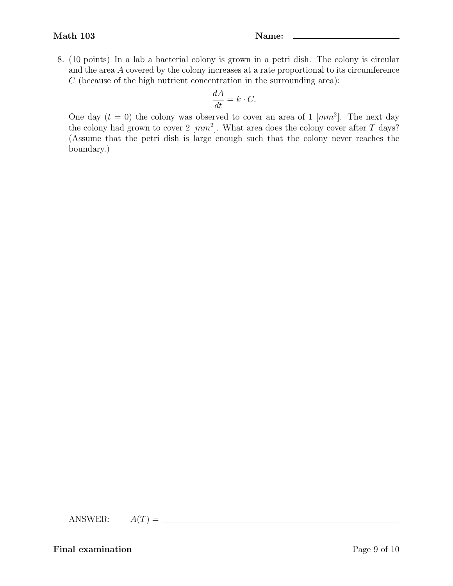8. (10 points) In a lab a bacterial colony is grown in a petri dish. The colony is circular and the area A covered by the colony increases at a rate proportional to its circumference  $C$  (because of the high nutrient concentration in the surrounding area):

$$
\frac{dA}{dt} = k \cdot C.
$$

One day  $(t = 0)$  the colony was observed to cover an area of 1  $\lfloor mm^2 \rfloor$ . The next day the colony had grown to cover  $2 \, [mm^2]$ . What area does the colony cover after T days? (Assume that the petri dish is large enough such that the colony never reaches the boundary.)

ANSWER:  $A(T) = \underline{\qquad}$ 

Final examination Page 9 of 10